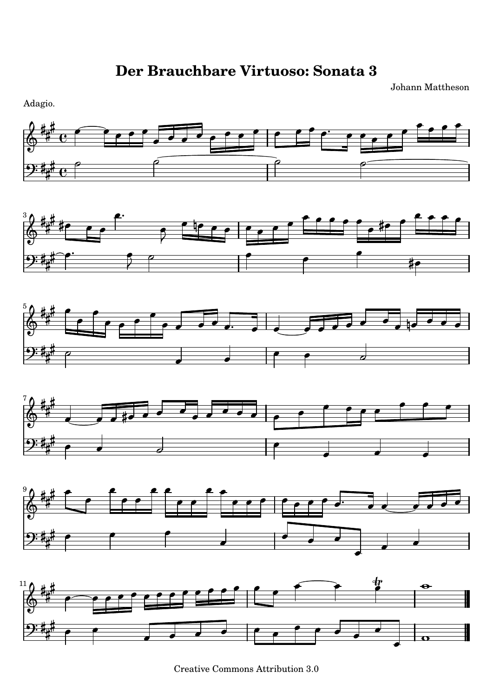Johann Mattheson

Adagio.



Creative Commons Attribution 3.0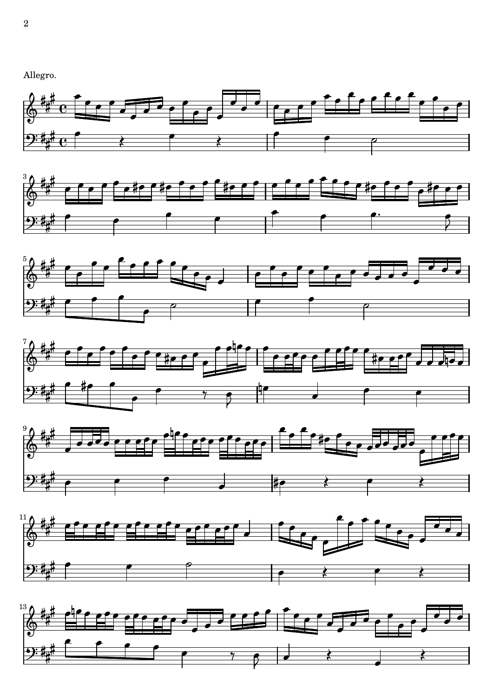













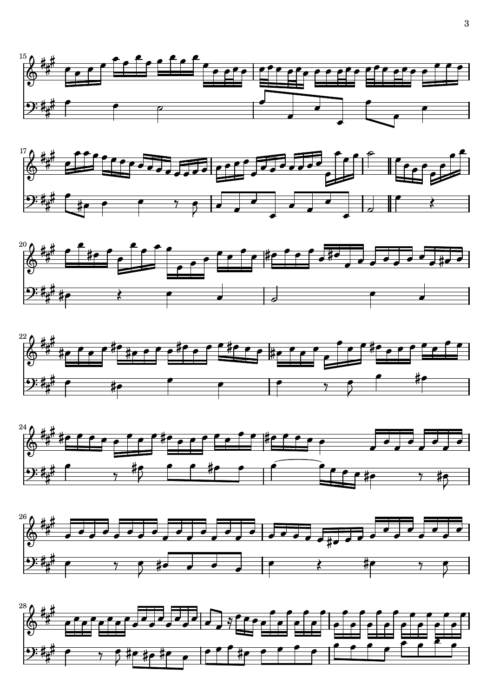











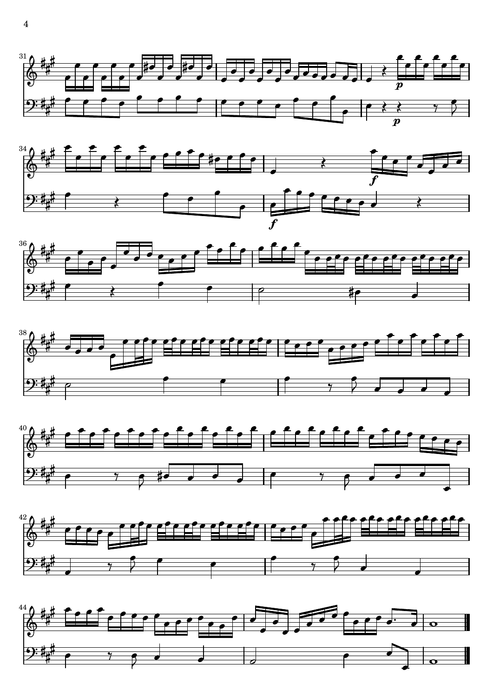











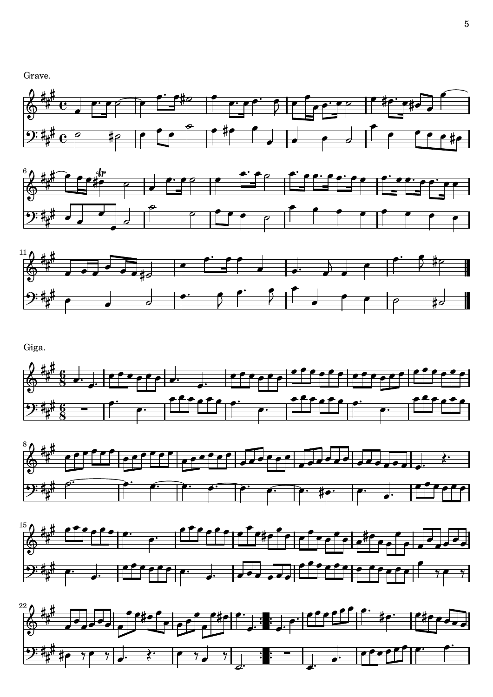Grave.







```
Giga.
```